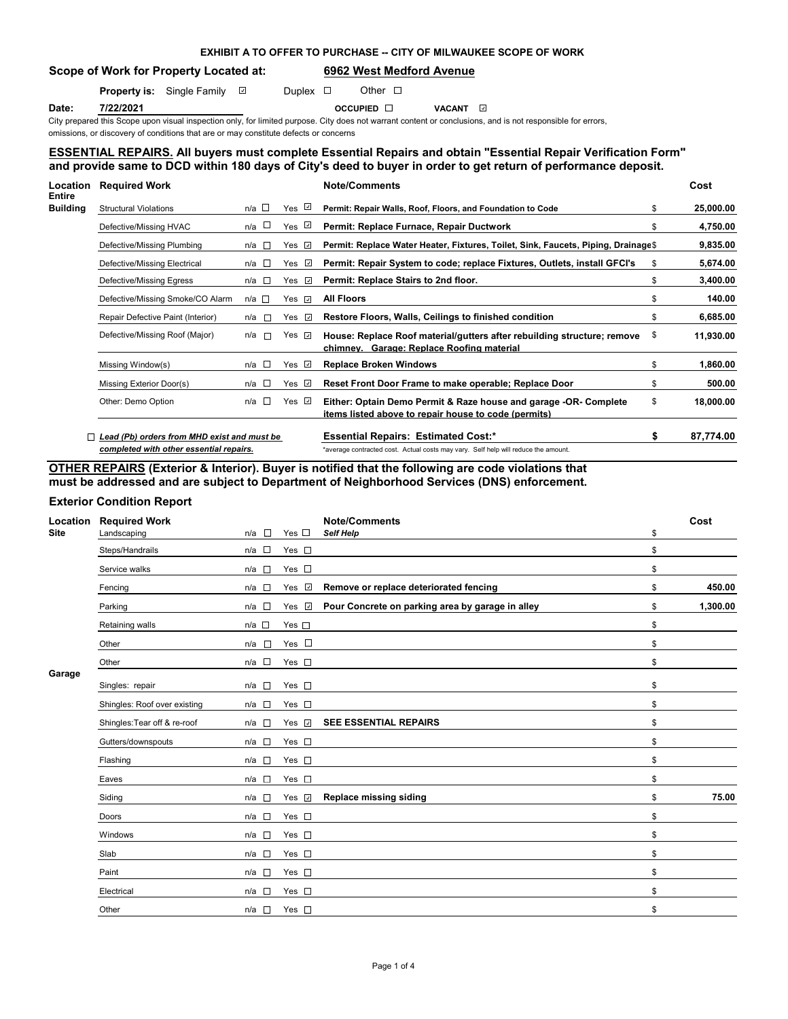# **EXHIBIT A TO OFFER TO PURCHASE -- CITY OF MILWAUKEE SCOPE OF WORK**

# **Scope of Work for Property Located at: 6962 West Medford Avenue**

**Property is:** Single Family  $\Box$  Duplex  $\Box$  Other  $\Box$ 

**Date: 7/22/2021 Date:** 7/22/2021 **OCCUPIED DATE:** 9

City prepared this Scope upon visual inspection only, for limited purpose. City does not warrant content or conclusions, and is not responsible for errors, omissions, or discovery of conditions that are or may constitute defects or concerns

## **ESSENTIAL REPAIRS. All buyers must complete Essential Repairs and obtain "Essential Repair Verification Form" and provide same to DCD within 180 days of City's deed to buyer in order to get return of performance deposit.**

| Location<br>Entire | <b>Required Work</b>                        |                         |                       | <b>Note/Comments</b>                                                                                                     | Cost            |
|--------------------|---------------------------------------------|-------------------------|-----------------------|--------------------------------------------------------------------------------------------------------------------------|-----------------|
| <b>Building</b>    | <b>Structural Violations</b>                | $n/a$ $\Box$            | Yes ⊻                 | Permit: Repair Walls, Roof, Floors, and Foundation to Code                                                               | \$<br>25,000.00 |
|                    | Defective/Missing HVAC                      | n/a □                   | $\omega$<br>Yes       | Permit: Replace Furnace, Repair Ductwork                                                                                 | \$<br>4,750.00  |
|                    | Defective/Missing Plumbing                  | n/a<br>D                | Yes<br>$\omega$       | Permit: Replace Water Heater, Fixtures, Toilet, Sink, Faucets, Piping, Drainage\$                                        | 9,835.00        |
|                    | Defective/Missing Electrical                | n/a l⊟                  | Yes<br>$\omega$       | Permit: Repair System to code; replace Fixtures, Outlets, install GFCI's                                                 | \$<br>5,674.00  |
|                    | Defective/Missing Egress                    | $n/a$ $\square$         | $\omega$<br>Yes       | Permit: Replace Stairs to 2nd floor.                                                                                     | \$<br>3,400.00  |
|                    | Defective/Missing Smoke/CO Alarm            | n/a □                   | Yes $\Box$            | <b>All Floors</b>                                                                                                        | \$<br>140.00    |
|                    | Repair Defective Paint (Interior)           | n/a<br><b>TERRITORY</b> | Yes<br>$\omega$       | Restore Floors, Walls, Ceilings to finished condition                                                                    | \$<br>6,685.00  |
|                    | Defective/Missing Roof (Major)              | n/a<br><b>D</b>         | Yes<br>$\overline{a}$ | House: Replace Roof material/gutters after rebuilding structure; remove<br>chimney. Garage: Replace Roofing material     | \$<br>11,930.00 |
|                    | Missing Window(s)                           | $n/a$ $\square$         | Yes <i>⊽</i>          | <b>Replace Broken Windows</b>                                                                                            | \$<br>1,860.00  |
|                    | Missing Exterior Door(s)                    | n/a $\square$           | Yes ⊡                 | Reset Front Door Frame to make operable; Replace Door                                                                    | \$<br>500.00    |
|                    | Other: Demo Option                          | n/a                     | Yes $\sqrt{2}$        | Either: Optain Demo Permit & Raze house and garage -OR- Complete<br>items listed above to repair house to code (permits) | \$<br>18,000.00 |
|                    | Lead (Pb) orders from MHD exist and must be |                         |                       | <b>Essential Repairs: Estimated Cost:*</b>                                                                               | \$<br>87,774.00 |
|                    | completed with other essential repairs.     |                         |                       | *average contracted cost. Actual costs may vary. Self help will reduce the amount.                                       |                 |

**OTHER REPAIRS (Exterior & Interior). Buyer is notified that the following are code violations that must be addressed and are subject to Department of Neighborhood Services (DNS) enforcement.**

## **Exterior Condition Report**

| Location<br><b>Site</b> | <b>Required Work</b><br>Landscaping | n/a<br>$\sim$         | Yes $\square$ | <b>Note/Comments</b><br><b>Self Help</b>         | \$<br>Cost     |
|-------------------------|-------------------------------------|-----------------------|---------------|--------------------------------------------------|----------------|
|                         | Steps/Handrails                     | $n/a$ $\square$       | Yes $\square$ |                                                  | \$             |
|                         | Service walks                       | $\mathbb{R}^n$<br>n/a | Yes $\square$ |                                                  | \$             |
|                         | Fencing                             | $n/a$ $\square$       | Yes v         | Remove or replace deteriorated fencing           | \$<br>450.00   |
|                         | Parking                             | n/a<br>$\overline{a}$ | Yes <b>☑</b>  | Pour Concrete on parking area by garage in alley | \$<br>1,300.00 |
|                         | Retaining walls                     | $n/a$ $\square$       | Yes $\square$ |                                                  | \$             |
|                         | Other                               | n/a<br>Link           | Yes $\square$ |                                                  | \$             |
|                         | Other                               | $n/a$ $\square$       | Yes $\square$ |                                                  | \$             |
| Garage                  | Singles: repair                     | $n/a$ $\square$       | Yes $\square$ |                                                  | \$             |
|                         | Shingles: Roof over existing        | $n/a$ $\square$       | Yes $\square$ |                                                  | \$             |
|                         | Shingles: Tear off & re-roof        | n/a<br>$\sim$         | Yes v         | <b>SEE ESSENTIAL REPAIRS</b>                     | \$             |
|                         | Gutters/downspouts                  | $n/a$ $\square$       | Yes $\square$ |                                                  | \$             |
|                         | Flashing                            | $n/a$ $\square$       | Yes $\square$ |                                                  | \$             |
|                         | Eaves                               | $n/a$ $\square$       | Yes $\square$ |                                                  | \$             |
|                         | Siding                              | $n/a$ $\square$       | Yes <b>☑</b>  | Replace missing siding                           | \$<br>75.00    |
|                         | Doors                               | $n/a$ $\square$       | Yes $\square$ |                                                  | \$             |
|                         | Windows                             | $n/a$ $\square$       | Yes $\square$ |                                                  | \$             |
|                         | Slab                                | $n/a$ $\square$       | Yes $\square$ |                                                  | \$             |
|                         | Paint                               | n/a $\square$         | Yes $\square$ |                                                  | \$             |
|                         | Electrical                          | n/a<br>$\sim 100$     | Yes $\square$ |                                                  | \$             |
|                         | Other                               | n/a<br>$\sim$         | Yes $\square$ |                                                  | \$             |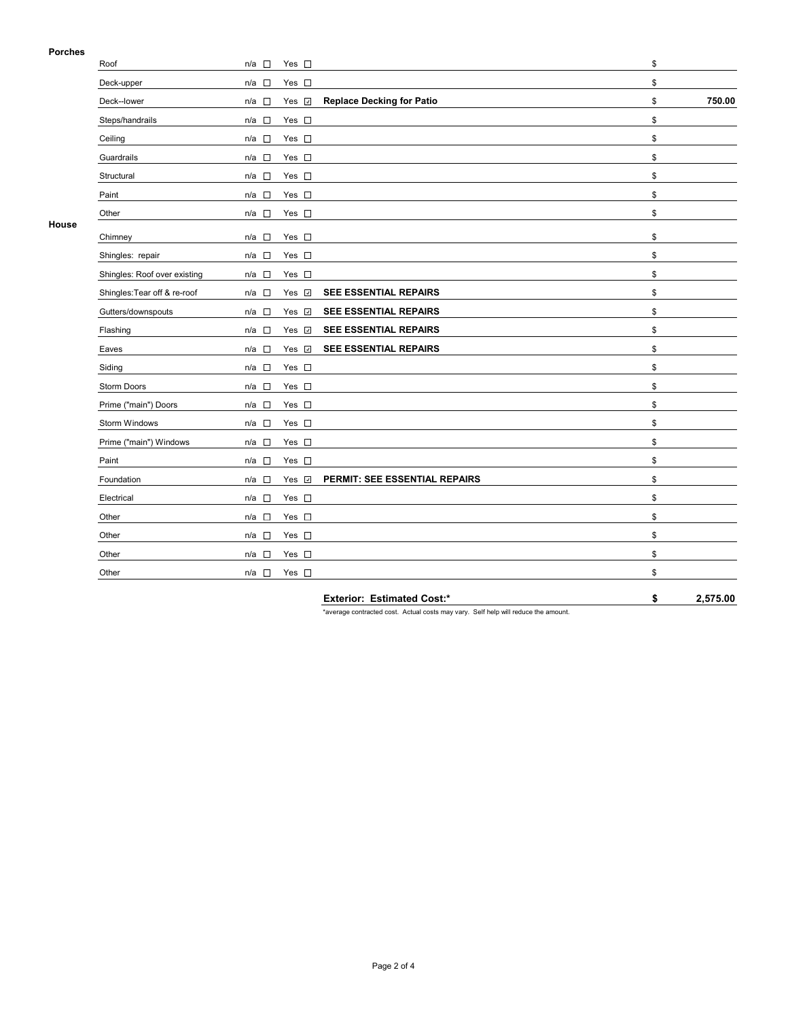## **Porches**

| гиингэ |                              |                                                     |                                  |              |
|--------|------------------------------|-----------------------------------------------------|----------------------------------|--------------|
|        | Roof                         | $n/a$ $\Box$<br>Yes $\square$                       |                                  | \$           |
|        | Deck-upper                   | Yes $\square$<br>$\mathcal{L}_{\mathcal{A}}$<br>n/a |                                  | \$           |
|        | Deck--lower                  | Yes 7<br>$n/a$ $\square$                            | <b>Replace Decking for Patio</b> | 750.00<br>\$ |
|        | Steps/handrails              | Yes $\square$<br>$\overline{a}$<br>n/a              |                                  | \$           |
|        | Ceiling                      | $n/a$ $\square$<br>Yes $\square$                    |                                  | \$           |
|        | Guardrails                   | $\Box$<br>Yes $\square$<br>n/a                      |                                  | \$           |
|        | Structural                   | Yes $\square$<br>$\overline{a}$<br>n/a              |                                  | \$           |
|        | Paint                        | $\mathcal{L}_{\mathcal{A}}$<br>Yes $\square$<br>n/a |                                  | \$           |
|        | Other                        | Yes $\square$<br>n/a □                              |                                  | \$           |
| House  | Chimney                      | Yes $\square$<br>$\overline{\phantom{a}}$<br>n/a    |                                  | \$           |
|        | Shingles: repair             | Yes $\square$<br>n/a<br>$\overline{a}$              |                                  | \$           |
|        | Shingles: Roof over existing | Yes $\square$<br>$\sim$<br>n/a                      |                                  | \$           |
|        | Shingles: Tear off & re-roof | Yes <b>☑</b><br>$n/a$ $\square$                     | SEE ESSENTIAL REPAIRS            | \$           |
|        | Gutters/downspouts           | Yes v<br>$\mathcal{L}_{\mathcal{A}}$<br>n/a         | SEE ESSENTIAL REPAIRS            | \$           |
|        | Flashing                     | Yes v<br>$n/a$ $\square$                            | SEE ESSENTIAL REPAIRS            | \$           |
|        | Eaves                        | Yes <b>⊽</b><br>$n/a$ $\square$                     | SEE ESSENTIAL REPAIRS            | \$           |
|        | Siding                       | $n/a$ $\square$<br>Yes $\square$                    |                                  | \$           |
|        | Storm Doors                  | $n/a$ $\Box$<br>Yes $\square$                       |                                  | \$           |
|        | Prime ("main") Doors         | Yes $\square$<br>$\Box$<br>n/a                      |                                  | \$           |
|        | Storm Windows                | $\sim$<br>Yes $\square$<br>n/a                      |                                  | \$           |
|        | Prime ("main") Windows       | Yes $\square$<br>$n/a$ $\square$                    |                                  | \$           |
|        | Paint                        | $n/a$ $\square$<br>Yes $\square$                    |                                  | \$           |
|        | Foundation                   | Yes v<br>$\overline{\phantom{a}}$<br>n/a            | PERMIT: SEE ESSENTIAL REPAIRS    | \$           |
|        | Electrical                   | Yes $\square$<br>$\overline{\phantom{a}}$<br>n/a    |                                  | \$           |
|        | Other                        | Yes $\square$<br>$\overline{\phantom{a}}$<br>n/a    |                                  | \$           |
|        | Other                        | Yes $\square$<br>$\sim$<br>n/a                      |                                  | \$           |
|        | Other                        | $\Box$<br>Yes $\square$<br>n/a                      |                                  | \$           |
|        | Other                        | Yes $\square$<br>$n/a$ $\square$                    |                                  | \$           |
|        |                              |                                                     |                                  |              |

**Exterior: Estimated Cost:\* \$ 2,575.00**

\*average contracted cost. Actual costs may vary. Self help will reduce the amount.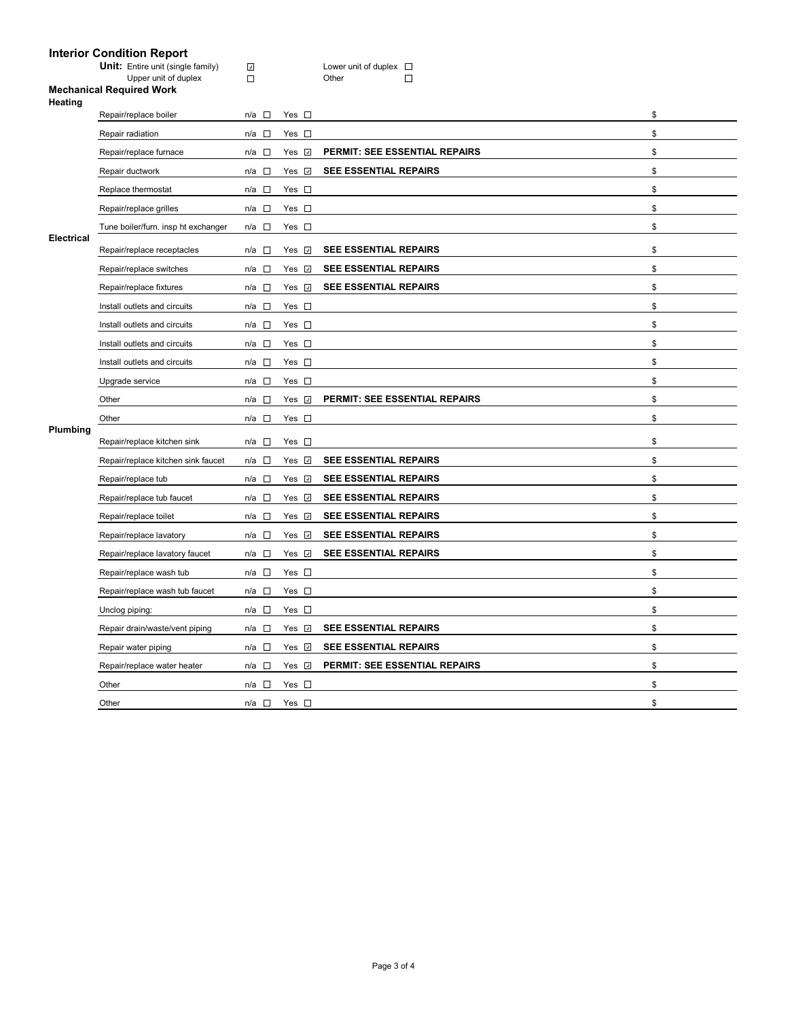### **Interior Condition Report**

**Unit:** Entire unit (single family) Lower unit of duplex

Upper unit of duplex Domeston Communication Communication Communication Communication Communication Communication Communication Communication Communication Communication Communication Communication Communication Communicat

#### **Mechanical Required Work Heating**

|                   | Repair/replace boiler               | $n/a$ $\square$  | Yes $\square$      |                                      | \$ |
|-------------------|-------------------------------------|------------------|--------------------|--------------------------------------|----|
|                   | Repair radiation                    | n/a □            | Yes $\square$      |                                      | \$ |
|                   | Repair/replace furnace              | n/a □            | Yes $\overline{v}$ | PERMIT: SEE ESSENTIAL REPAIRS        | \$ |
|                   | Repair ductwork                     | n/a $\square$    | Yes <b>⊽</b>       | SEE ESSENTIAL REPAIRS                | \$ |
|                   | Replace thermostat                  | $n/a$ $\square$  | Yes $\square$      |                                      | \$ |
|                   | Repair/replace grilles              | $n/a$ $\square$  | Yes $\square$      |                                      | \$ |
|                   | Tune boiler/furn. insp ht exchanger | n/a □            | Yes $\square$      |                                      | \$ |
| <b>Electrical</b> | Repair/replace receptacles          | n/a □            | Yes <b>⊽</b>       | <b>SEE ESSENTIAL REPAIRS</b>         | \$ |
|                   | Repair/replace switches             | $n/a$ $\square$  | Yes $\Box$         | <b>SEE ESSENTIAL REPAIRS</b>         | \$ |
|                   | Repair/replace fixtures             | $n/a$ $\square$  | Yes <b>⊽</b>       | SEE ESSENTIAL REPAIRS                | \$ |
|                   | Install outlets and circuits        | $n/a$ $\square$  | Yes $\square$      |                                      | \$ |
|                   | Install outlets and circuits        | $n/a$ $\square$  | Yes $\square$      |                                      | \$ |
|                   | Install outlets and circuits        | $n/a$ $\square$  | Yes $\square$      |                                      | \$ |
|                   | Install outlets and circuits        | $n/a$ $\square$  | Yes $\square$      |                                      | \$ |
|                   | Upgrade service                     | n/a<br>$\Box$    | Yes $\square$      |                                      | \$ |
|                   | Other                               | $n/a$ $\square$  | Yes <b>⊽</b>       | <b>PERMIT: SEE ESSENTIAL REPAIRS</b> | \$ |
|                   |                                     |                  |                    |                                      |    |
|                   | Other                               | n/a $\square$    | Yes $\square$      |                                      | \$ |
| Plumbing          | Repair/replace kitchen sink         | n/a $\square$    | Yes $\square$      |                                      | \$ |
|                   | Repair/replace kitchen sink faucet  | $\Box$<br>n/a    | Yes $\sqrt{ }$     | <b>SEE ESSENTIAL REPAIRS</b>         | \$ |
|                   | Repair/replace tub                  | n/a $\square$    | Yes <b>☑</b>       | SEE ESSENTIAL REPAIRS                | \$ |
|                   | Repair/replace tub faucet           | $n/a$ $\square$  | Yes $\sqrt{ }$     | <b>SEE ESSENTIAL REPAIRS</b>         | \$ |
|                   | Repair/replace toilet               | $n/a$ $\square$  | Yes $\sqrt{ }$     | <b>SEE ESSENTIAL REPAIRS</b>         | \$ |
|                   | Repair/replace lavatory             | $n/a$ $\square$  | Yes 7              | <b>SEE ESSENTIAL REPAIRS</b>         | \$ |
|                   | Repair/replace lavatory faucet      | $n/a$ $\square$  | Yes v              | SEE ESSENTIAL REPAIRS                | \$ |
|                   | Repair/replace wash tub             | $\sim 10$<br>n/a | Yes $\square$      |                                      | \$ |
|                   | Repair/replace wash tub faucet      | n/a □            | Yes $\square$      |                                      | \$ |
|                   | Unclog piping:                      | n/a $\square$    | Yes $\square$      |                                      | \$ |
|                   | Repair drain/waste/vent piping      | $n/a$ $\square$  | Yes <b>v</b>       | SEE ESSENTIAL REPAIRS                | \$ |
|                   | Repair water piping                 | $n/a$ $\square$  | Yes 7              | <b>SEE ESSENTIAL REPAIRS</b>         | \$ |
|                   | Repair/replace water heater         | $n/a$ $\square$  | Yes <b>v</b>       | PERMIT: SEE ESSENTIAL REPAIRS        | \$ |
|                   | Other                               | $\sim$<br>n/a    | Yes $\square$      |                                      | \$ |